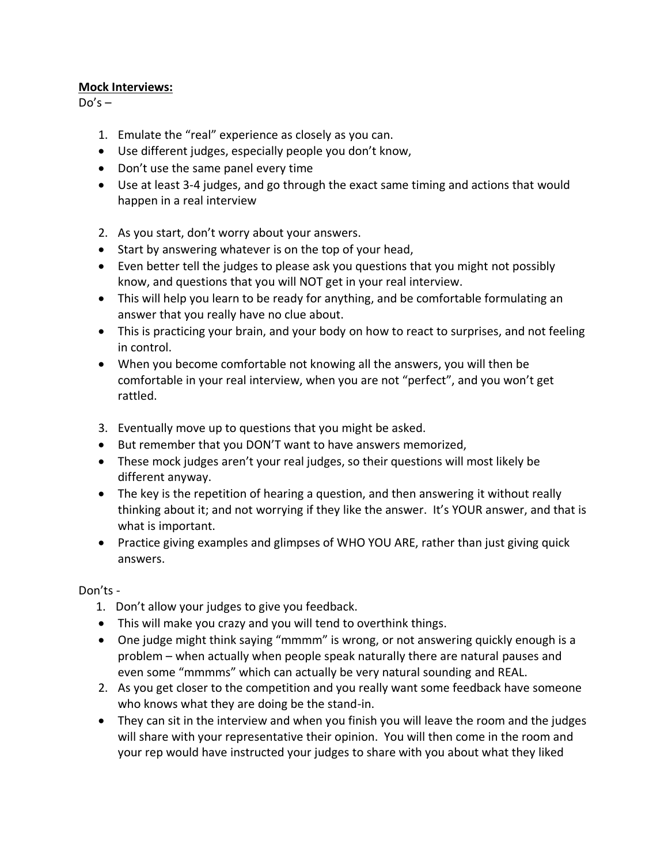## **Mock Interviews:**

 $Do's -$ 

- 1. Emulate the "real" experience as closely as you can.
- Use different judges, especially people you don't know,
- Don't use the same panel every time
- Use at least 3-4 judges, and go through the exact same timing and actions that would happen in a real interview
- 2. As you start, don't worry about your answers.
- Start by answering whatever is on the top of your head,
- Even better tell the judges to please ask you questions that you might not possibly know, and questions that you will NOT get in your real interview.
- This will help you learn to be ready for anything, and be comfortable formulating an answer that you really have no clue about.
- This is practicing your brain, and your body on how to react to surprises, and not feeling in control.
- When you become comfortable not knowing all the answers, you will then be comfortable in your real interview, when you are not "perfect", and you won't get rattled.
- 3. Eventually move up to questions that you might be asked.
- But remember that you DON'T want to have answers memorized,
- These mock judges aren't your real judges, so their questions will most likely be different anyway.
- The key is the repetition of hearing a question, and then answering it without really thinking about it; and not worrying if they like the answer. It's YOUR answer, and that is what is important.
- Practice giving examples and glimpses of WHO YOU ARE, rather than just giving quick answers.

## Don'ts -

- 1. Don't allow your judges to give you feedback.
- This will make you crazy and you will tend to overthink things.
- One judge might think saying "mmmm" is wrong, or not answering quickly enough is a problem – when actually when people speak naturally there are natural pauses and even some "mmmms" which can actually be very natural sounding and REAL.
- 2. As you get closer to the competition and you really want some feedback have someone who knows what they are doing be the stand-in.
- They can sit in the interview and when you finish you will leave the room and the judges will share with your representative their opinion. You will then come in the room and your rep would have instructed your judges to share with you about what they liked